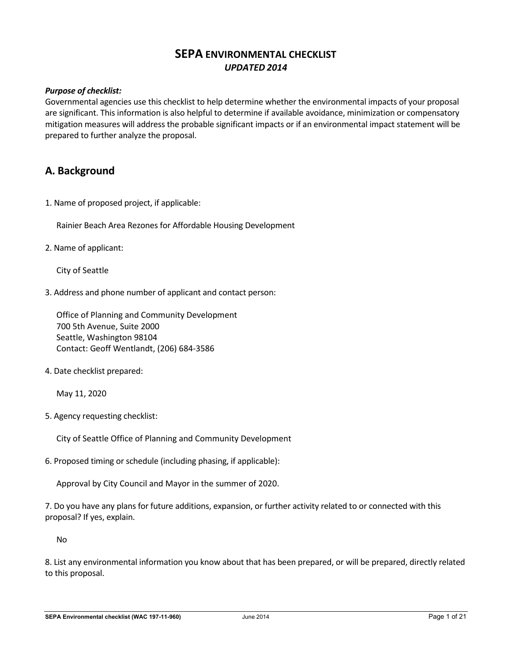# **SEPA ENVIRONMENTAL CHECKLIST** *UPDATED 2014*

## *Purpose of checklist:*

Governmental agencies use this checklist to help determine whether the environmental impacts of your proposal are significant. This information is also helpful to determine if available avoidance, minimization or compensatory mitigation measures will address the probable significant impacts or if an environmental impact statement will be prepared to further analyze the proposal.

# **A. Background**

1. Name of proposed project, if applicable:

Rainier Beach Area Rezones for Affordable Housing Development

2. Name of applicant:

City of Seattle

3. Address and phone number of applicant and contact person:

Office of Planning and Community Development 700 5th Avenue, Suite 2000 Seattle, Washington 98104 Contact: Geoff Wentlandt, (206) 684-3586

4. Date checklist prepared:

May 11, 2020

5. Agency requesting checklist:

City of Seattle Office of Planning and Community Development

6. Proposed timing or schedule (including phasing, if applicable):

Approval by City Council and Mayor in the summer of 2020.

7. Do you have any plans for future additions, expansion, or further activity related to or connected with this proposal? If yes, explain.

No

8. List any environmental information you know about that has been prepared, or will be prepared, directly related to this proposal.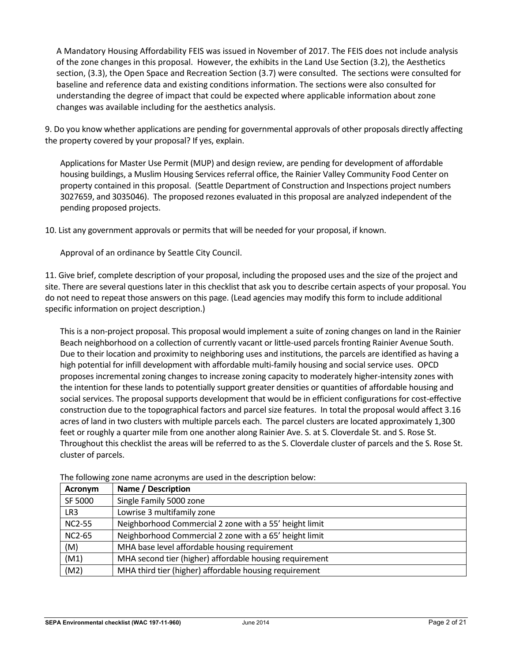A Mandatory Housing Affordability FEIS was issued in November of 2017. The FEIS does not include analysis of the zone changes in this proposal. However, the exhibits in the Land Use Section (3.2), the Aesthetics section, (3.3), the Open Space and Recreation Section (3.7) were consulted. The sections were consulted for baseline and reference data and existing conditions information. The sections were also consulted for understanding the degree of impact that could be expected where applicable information about zone changes was available including for the aesthetics analysis.

9. Do you know whether applications are pending for governmental approvals of other proposals directly affecting the property covered by your proposal? If yes, explain.

Applications for Master Use Permit (MUP) and design review, are pending for development of affordable housing buildings, a Muslim Housing Services referral office, the Rainier Valley Community Food Center on property contained in this proposal. (Seattle Department of Construction and Inspections project numbers 3027659, and 3035046). The proposed rezones evaluated in this proposal are analyzed independent of the pending proposed projects.

10. List any government approvals or permits that will be needed for your proposal, if known.

Approval of an ordinance by Seattle City Council.

11. Give brief, complete description of your proposal, including the proposed uses and the size of the project and site. There are several questions later in this checklist that ask you to describe certain aspects of your proposal. You do not need to repeat those answers on this page. (Lead agencies may modify this form to include additional specific information on project description.)

This is a non-project proposal. This proposal would implement a suite of zoning changes on land in the Rainier Beach neighborhood on a collection of currently vacant or little-used parcels fronting Rainier Avenue South. Due to their location and proximity to neighboring uses and institutions, the parcels are identified as having a high potential for infill development with affordable multi-family housing and social service uses. OPCD proposes incremental zoning changes to increase zoning capacity to moderately higher-intensity zones with the intention for these lands to potentially support greater densities or quantities of affordable housing and social services. The proposal supports development that would be in efficient configurations for cost-effective construction due to the topographical factors and parcel size features. In total the proposal would affect 3.16 acres of land in two clusters with multiple parcels each. The parcel clusters are located approximately 1,300 feet or roughly a quarter mile from one another along Rainier Ave. S. at S. Cloverdale St. and S. Rose St. Throughout this checklist the areas will be referred to as the S. Cloverdale cluster of parcels and the S. Rose St. cluster of parcels.

| Acronym       | Name / Description                                      |
|---------------|---------------------------------------------------------|
| SF 5000       | Single Family 5000 zone                                 |
| LR3           | Lowrise 3 multifamily zone                              |
| <b>NC2-55</b> | Neighborhood Commercial 2 zone with a 55' height limit  |
| <b>NC2-65</b> | Neighborhood Commercial 2 zone with a 65' height limit  |
| (M)           | MHA base level affordable housing requirement           |
| (M1)          | MHA second tier (higher) affordable housing requirement |
| (M2)          | MHA third tier (higher) affordable housing requirement  |

The following zone name acronyms are used in the description below: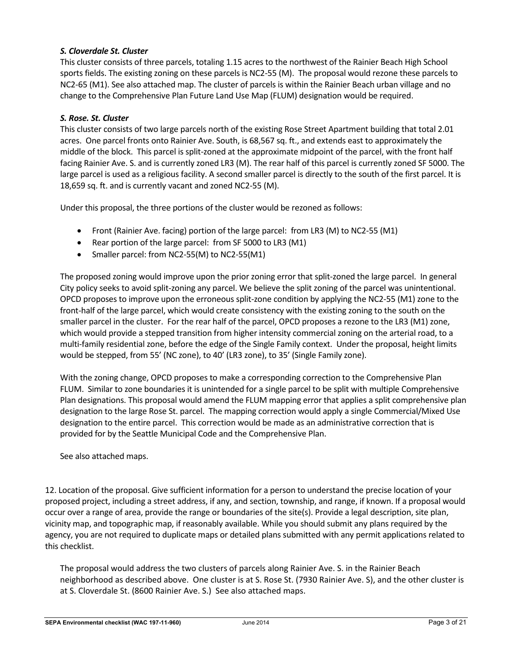# *S. Cloverdale St. Cluster*

This cluster consists of three parcels, totaling 1.15 acres to the northwest of the Rainier Beach High School sports fields. The existing zoning on these parcels is NC2-55 (M). The proposal would rezone these parcels to NC2-65 (M1). See also attached map. The cluster of parcels is within the Rainier Beach urban village and no change to the Comprehensive Plan Future Land Use Map (FLUM) designation would be required.

## *S. Rose. St. Cluster*

This cluster consists of two large parcels north of the existing Rose Street Apartment building that total 2.01 acres. One parcel fronts onto Rainier Ave. South, is 68,567 sq. ft., and extends east to approximately the middle of the block. This parcel is split-zoned at the approximate midpoint of the parcel, with the front half facing Rainier Ave. S. and is currently zoned LR3 (M). The rear half of this parcel is currently zoned SF 5000. The large parcel is used as a religious facility. A second smaller parcel is directly to the south of the first parcel. It is 18,659 sq. ft. and is currently vacant and zoned NC2-55 (M).

Under this proposal, the three portions of the cluster would be rezoned as follows:

- Front (Rainier Ave. facing) portion of the large parcel: from LR3 (M) to NC2-55 (M1)
- Rear portion of the large parcel: from SF 5000 to LR3 (M1)
- Smaller parcel: from NC2-55(M) to NC2-55(M1)

The proposed zoning would improve upon the prior zoning error that split-zoned the large parcel. In general City policy seeks to avoid split-zoning any parcel. We believe the split zoning of the parcel was unintentional. OPCD proposes to improve upon the erroneous split-zone condition by applying the NC2-55 (M1) zone to the front-half of the large parcel, which would create consistency with the existing zoning to the south on the smaller parcel in the cluster. For the rear half of the parcel, OPCD proposes a rezone to the LR3 (M1) zone, which would provide a stepped transition from higher intensity commercial zoning on the arterial road, to a multi-family residential zone, before the edge of the Single Family context. Under the proposal, height limits would be stepped, from 55' (NC zone), to 40' (LR3 zone), to 35' (Single Family zone).

With the zoning change, OPCD proposes to make a corresponding correction to the Comprehensive Plan FLUM. Similar to zone boundaries it is unintended for a single parcel to be split with multiple Comprehensive Plan designations. This proposal would amend the FLUM mapping error that applies a split comprehensive plan designation to the large Rose St. parcel. The mapping correction would apply a single Commercial/Mixed Use designation to the entire parcel. This correction would be made as an administrative correction that is provided for by the Seattle Municipal Code and the Comprehensive Plan.

See also attached maps.

12. Location of the proposal. Give sufficient information for a person to understand the precise location of your proposed project, including a street address, if any, and section, township, and range, if known. If a proposal would occur over a range of area, provide the range or boundaries of the site(s). Provide a legal description, site plan, vicinity map, and topographic map, if reasonably available. While you should submit any plans required by the agency, you are not required to duplicate maps or detailed plans submitted with any permit applications related to this checklist.

The proposal would address the two clusters of parcels along Rainier Ave. S. in the Rainier Beach neighborhood as described above. One cluster is at S. Rose St. (7930 Rainier Ave. S), and the other cluster is at S. Cloverdale St. (8600 Rainier Ave. S.) See also attached maps.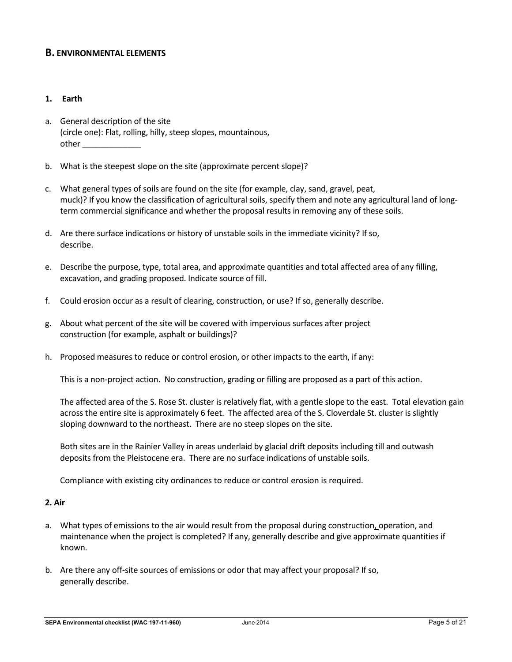# **B. ENVIRONMENTAL ELEMENTS**

### **1. Earth**

- a. General description of the site (circle one): Flat, rolling, hilly, steep slopes, mountainous, other \_\_\_\_\_\_\_\_\_\_\_\_\_
- b. What is the steepest slope on the site (approximate percent slope)?
- c. What general types of soils are found on the site (for example, clay, sand, gravel, peat, muck)? If you know the classification of agricultural soils, specify them and note any agricultural land of longterm commercial significance and whether the proposal results in removing any of these soils.
- d. Are there surface indications or history of unstable soils in the immediate vicinity? If so, describe.
- e. Describe the purpose, type, total area, and approximate quantities and total affected area of any filling, excavation, and grading proposed. Indicate source of fill.
- f. Could erosion occur as a result of clearing, construction, or use? If so, generally describe.
- g. About what percent of the site will be covered with impervious surfaces after project construction (for example, asphalt or buildings)?
- h. Proposed measures to reduce or control erosion, or other impacts to the earth, if any:

This is a non-project action. No construction, grading or filling are proposed as a part of this action.

The affected area of the S. Rose St. cluster is relatively flat, with a gentle slope to the east. Total elevation gain across the entire site is approximately 6 feet. The affected area of the S. Cloverdale St. cluster is slightly sloping downward to the northeast. There are no steep slopes on the site.

Both sites are in the Rainier Valley in areas underlaid by glacial drift deposits including till and outwash deposits from the Pleistocene era. There are no surface indications of unstable soils.

Compliance with existing city ordinances to reduce or control erosion is required.

#### **2. Air**

- a. What types of emissions to the air would result from the proposal during construction, operation, and maintenance when the project is completed? If any, generally describe and give approximate quantities if known.
- b. Are there any off-site sources of emissions or odor that may affect your proposal? If so, generally describe.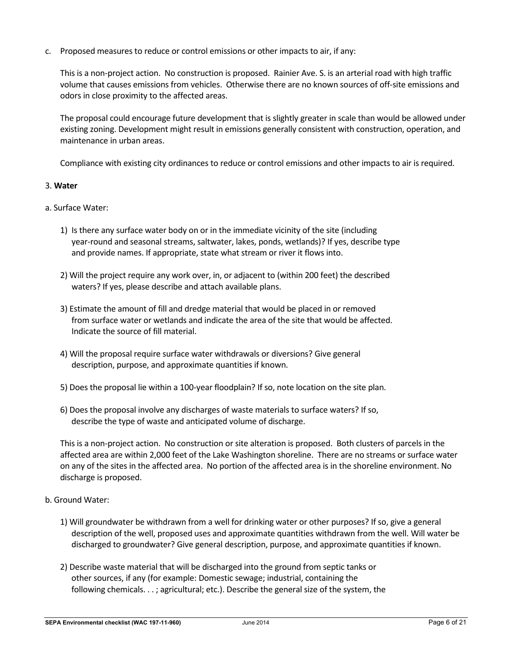c. Proposed measures to reduce or control emissions or other impacts to air, if any:

This is a non-project action. No construction is proposed. Rainier Ave. S. is an arterial road with high traffic volume that causes emissions from vehicles. Otherwise there are no known sources of off-site emissions and odors in close proximity to the affected areas.

The proposal could encourage future development that is slightly greater in scale than would be allowed under existing zoning. Development might result in emissions generally consistent with construction, operation, and maintenance in urban areas.

Compliance with existing city ordinances to reduce or control emissions and other impacts to air is required.

### 3. **Water**

- a. Surface Water:
	- 1) Is there any surface water body on or in the immediate vicinity of the site (including year-round and seasonal streams, saltwater, lakes, ponds, wetlands)? If yes, describe type and provide names. If appropriate, state what stream or river it flows into.
	- 2) Will the project require any work over, in, or adjacent to (within 200 feet) the described waters? If yes, please describe and attach available plans.
	- 3) Estimate the amount of fill and dredge material that would be placed in or removed from surface water or wetlands and indicate the area of the site that would be affected. Indicate the source of fill material.
	- 4) Will the proposal require surface water withdrawals or diversions? Give general description, purpose, and approximate quantities if known.
	- 5) Does the proposal lie within a 100-year floodplain? If so, note location on the site plan.
	- 6) Does the proposal involve any discharges of waste materials to surface waters? If so, describe the type of waste and anticipated volume of discharge.

This is a non-project action. No construction or site alteration is proposed. Both clusters of parcels in the affected area are within 2,000 feet of the Lake Washington shoreline. There are no streams or surface water on any of the sites in the affected area. No portion of the affected area is in the shoreline environment. No discharge is proposed.

- b. Ground Water:
	- 1) Will groundwater be withdrawn from a well for drinking water or other purposes? If so, give a general description of the well, proposed uses and approximate quantities withdrawn from the well. Will water be discharged to groundwater? Give general description, purpose, and approximate quantities if known.
	- 2) Describe waste material that will be discharged into the ground from septic tanks or other sources, if any (for example: Domestic sewage; industrial, containing the following chemicals. . . ; agricultural; etc.). Describe the general size of the system, the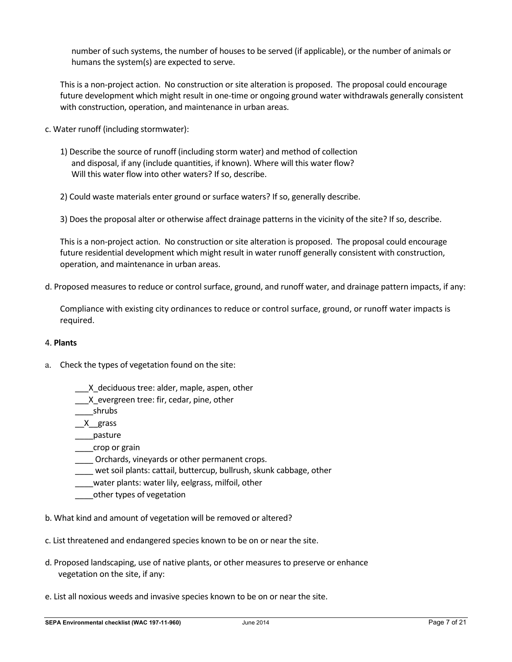number of such systems, the number of houses to be served (if applicable), or the number of animals or humans the system(s) are expected to serve.

This is a non-project action. No construction or site alteration is proposed. The proposal could encourage future development which might result in one-time or ongoing ground water withdrawals generally consistent with construction, operation, and maintenance in urban areas.

- c. Water runoff (including stormwater):
	- 1) Describe the source of runoff (including storm water) and method of collection and disposal, if any (include quantities, if known). Where will this water flow? Will this water flow into other waters? If so, describe.
	- 2) Could waste materials enter ground or surface waters? If so, generally describe.
	- 3) Does the proposal alter or otherwise affect drainage patterns in the vicinity of the site? If so, describe.

This is a non-project action. No construction or site alteration is proposed. The proposal could encourage future residential development which might result in water runoff generally consistent with construction, operation, and maintenance in urban areas.

d. Proposed measures to reduce or control surface, ground, and runoff water, and drainage pattern impacts, if any:

Compliance with existing city ordinances to reduce or control surface, ground, or runoff water impacts is required.

#### 4. **Plants**

- a. Check the types of vegetation found on the site:
	- \_\_\_X\_deciduous tree: alder, maple, aspen, other
	- X evergreen tree: fir, cedar, pine, other
	- \_\_\_\_shrubs
	- $X_{\text{grass}}$
	- \_\_\_\_pasture
	- \_\_\_\_crop or grain
	- \_\_\_\_ Orchards, vineyards or other permanent crops.
	- wet soil plants: cattail, buttercup, bullrush, skunk cabbage, other
	- water plants: water lily, eelgrass, milfoil, other
	- \_\_\_\_other types of vegetation
- b. What kind and amount of vegetation will be removed or altered?
- c. List threatened and endangered species known to be on or near the site.
- d. Proposed landscaping, use of native plants, or other measures to preserve or enhance vegetation on the site, if any:
- e. List all noxious weeds and invasive species known to be on or near the site.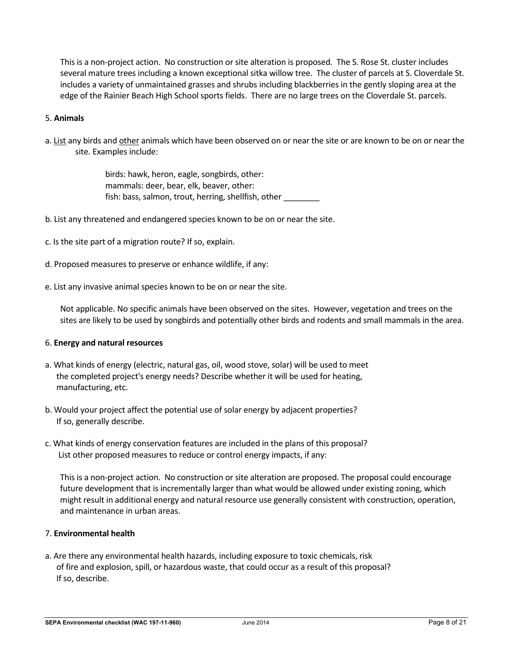This is a non-project action. No construction or site alteration is proposed. The S. Rose St. cluster includes several mature trees including a known exceptional sitka willow tree. The cluster of parcels at S. Cloverdale St. includes a variety of unmaintained grasses and shrubs including blackberries in the gently sloping area at the edge of the Rainier Beach High School sports fields. There are no large trees on the Cloverdale St. parcels.

### 5. **Animals**

a. List any birds and other animals which have been observed on or near the site or are known to be on or near the site. Examples include:

> birds: hawk, heron, eagle, songbirds, other: mammals: deer, bear, elk, beaver, other: fish: bass, salmon, trout, herring, shellfish, other \_\_\_\_\_\_\_\_

- b. List any threatened and endangered species known to be on or near the site.
- c. Is the site part of a migration route? If so, explain.
- d. Proposed measures to preserve or enhance wildlife, if any:
- e. List any invasive animal species known to be on or near the site.

Not applicable. No specific animals have been observed on the sites. However, vegetation and trees on the sites are likely to be used by songbirds and potentially other birds and rodents and small mammals in the area.

#### 6. **Energy and natural resources**

- a. What kinds of energy (electric, natural gas, oil, wood stove, solar) will be used to meet the completed project's energy needs? Describe whether it will be used for heating, manufacturing, etc.
- b. Would your project affect the potential use of solar energy by adjacent properties? If so, generally describe.
- c. What kinds of energy conservation features are included in the plans of this proposal? List other proposed measures to reduce or control energy impacts, if any:

This is a non-project action. No construction or site alteration are proposed. The proposal could encourage future development that is incrementally larger than what would be allowed under existing zoning, which might result in additional energy and natural resource use generally consistent with construction, operation, and maintenance in urban areas.

# 7. **Environmental health**

a. Are there any environmental health hazards, including exposure to toxic chemicals, risk of fire and explosion, spill, or hazardous waste, that could occur as a result of this proposal? If so, describe.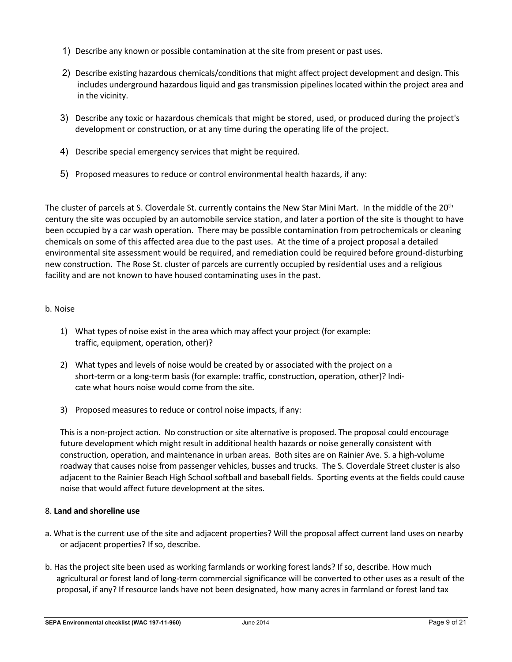- 1) Describe any known or possible contamination at the site from present or past uses.
- 2) Describe existing hazardous chemicals/conditions that might affect project development and design. This includes underground hazardous liquid and gas transmission pipelines located within the project area and in the vicinity.
- 3) Describe any toxic or hazardous chemicals that might be stored, used, or produced during the project's development or construction, or at any time during the operating life of the project.
- 4) Describe special emergency services that might be required.
- 5) Proposed measures to reduce or control environmental health hazards, if any:

The cluster of parcels at S. Cloverdale St. currently contains the New Star Mini Mart. In the middle of the 20<sup>th</sup> century the site was occupied by an automobile service station, and later a portion of the site is thought to have been occupied by a car wash operation. There may be possible contamination from petrochemicals or cleaning chemicals on some of this affected area due to the past uses. At the time of a project proposal a detailed environmental site assessment would be required, and remediation could be required before ground-disturbing new construction. The Rose St. cluster of parcels are currently occupied by residential uses and a religious facility and are not known to have housed contaminating uses in the past.

### b. Noise

- 1) What types of noise exist in the area which may affect your project (for example: traffic, equipment, operation, other)?
- 2) What types and levels of noise would be created by or associated with the project on a short-term or a long-term basis (for example: traffic, construction, operation, other)? Indicate what hours noise would come from the site.
- 3) Proposed measures to reduce or control noise impacts, if any:

This is a non-project action. No construction or site alternative is proposed. The proposal could encourage future development which might result in additional health hazards or noise generally consistent with construction, operation, and maintenance in urban areas. Both sites are on Rainier Ave. S. a high-volume roadway that causes noise from passenger vehicles, busses and trucks. The S. Cloverdale Street cluster is also adjacent to the Rainier Beach High School softball and baseball fields. Sporting events at the fields could cause noise that would affect future development at the sites.

#### 8. **Land and shoreline use**

- a. What is the current use of the site and adjacent properties? Will the proposal affect current land uses on nearby or adjacent properties? If so, describe.
- b. Has the project site been used as working farmlands or working forest lands? If so, describe. How much agricultural or forest land of long-term commercial significance will be converted to other uses as a result of the proposal, if any? If resource lands have not been designated, how many acres in farmland or forest land tax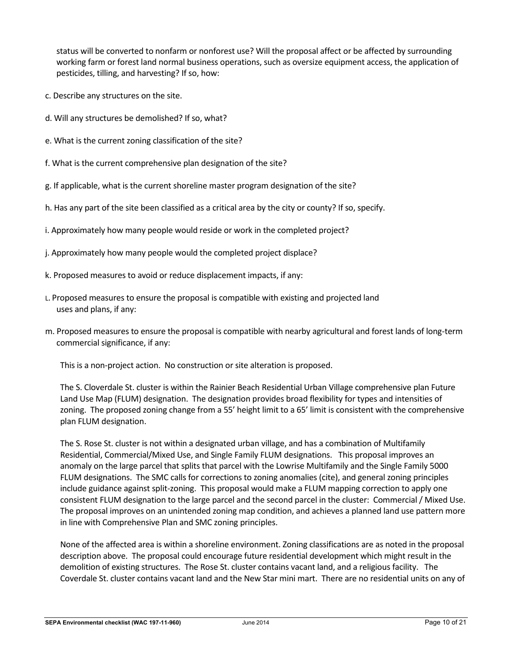status will be converted to nonfarm or nonforest use? Will the proposal affect or be affected by surrounding working farm or forest land normal business operations, such as oversize equipment access, the application of pesticides, tilling, and harvesting? If so, how:

- c. Describe any structures on the site.
- d. Will any structures be demolished? If so, what?
- e. What is the current zoning classification of the site?
- f. What is the current comprehensive plan designation of the site?
- g. If applicable, what is the current shoreline master program designation of the site?
- h. Has any part of the site been classified as a critical area by the city or county? If so, specify.
- i. Approximately how many people would reside or work in the completed project?
- j. Approximately how many people would the completed project displace?
- k. Proposed measures to avoid or reduce displacement impacts, if any:
- L. Proposed measures to ensure the proposal is compatible with existing and projected land uses and plans, if any:
- m. Proposed measures to ensure the proposal is compatible with nearby agricultural and forest lands of long-term commercial significance, if any:

This is a non-project action. No construction or site alteration is proposed.

The S. Cloverdale St. cluster is within the Rainier Beach Residential Urban Village comprehensive plan Future Land Use Map (FLUM) designation. The designation provides broad flexibility for types and intensities of zoning. The proposed zoning change from a 55' height limit to a 65' limit is consistent with the comprehensive plan FLUM designation.

The S. Rose St. cluster is not within a designated urban village, and has a combination of Multifamily Residential, Commercial/Mixed Use, and Single Family FLUM designations. This proposal improves an anomaly on the large parcel that splits that parcel with the Lowrise Multifamily and the Single Family 5000 FLUM designations. The SMC calls for corrections to zoning anomalies (cite), and general zoning principles include guidance against split-zoning. This proposal would make a FLUM mapping correction to apply one consistent FLUM designation to the large parcel and the second parcel in the cluster: Commercial / Mixed Use. The proposal improves on an unintended zoning map condition, and achieves a planned land use pattern more in line with Comprehensive Plan and SMC zoning principles.

None of the affected area is within a shoreline environment. Zoning classifications are as noted in the proposal description above. The proposal could encourage future residential development which might result in the demolition of existing structures. The Rose St. cluster contains vacant land, and a religious facility. The Coverdale St. cluster contains vacant land and the New Star mini mart. There are no residential units on any of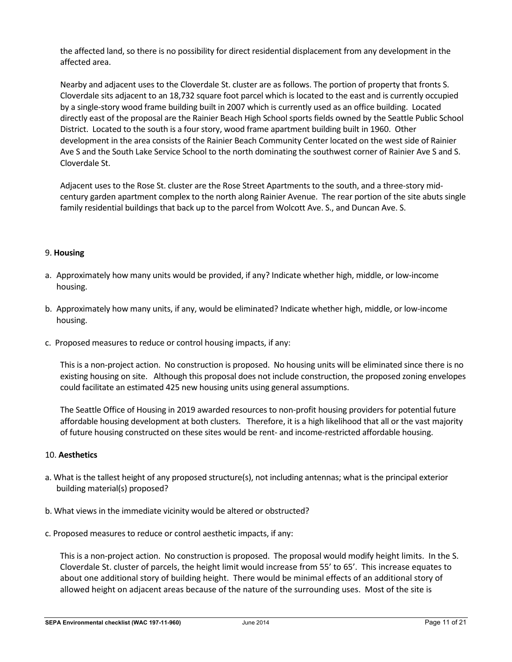the affected land, so there is no possibility for direct residential displacement from any development in the affected area.

Nearby and adjacent uses to the Cloverdale St. cluster are as follows. The portion of property that fronts S. Cloverdale sits adjacent to an 18,732 square foot parcel which is located to the east and is currently occupied by a single-story wood frame building built in 2007 which is currently used as an office building. Located directly east of the proposal are the Rainier Beach High School sports fields owned by the Seattle Public School District. Located to the south is a four story, wood frame apartment building built in 1960. Other development in the area consists of the Rainier Beach Community Center located on the west side of Rainier Ave S and the South Lake Service School to the north dominating the southwest corner of Rainier Ave S and S. Cloverdale St.

Adjacent uses to the Rose St. cluster are the Rose Street Apartments to the south, and a three-story midcentury garden apartment complex to the north along Rainier Avenue. The rear portion of the site abuts single family residential buildings that back up to the parcel from Wolcott Ave. S., and Duncan Ave. S.

## 9. **Housing**

- a. Approximately how many units would be provided, if any? Indicate whether high, middle, or low-income housing.
- b. Approximately how many units, if any, would be eliminated? Indicate whether high, middle, or low-income housing.
- c. Proposed measures to reduce or control housing impacts, if any:

This is a non-project action. No construction is proposed. No housing units will be eliminated since there is no existing housing on site. Although this proposal does not include construction, the proposed zoning envelopes could facilitate an estimated 425 new housing units using general assumptions.

The Seattle Office of Housing in 2019 awarded resources to non-profit housing providers for potential future affordable housing development at both clusters. Therefore, it is a high likelihood that all or the vast majority of future housing constructed on these sites would be rent- and income-restricted affordable housing.

## 10. **Aesthetics**

- a. What is the tallest height of any proposed structure(s), not including antennas; what is the principal exterior building material(s) proposed?
- b. What views in the immediate vicinity would be altered or obstructed?
- c. Proposed measures to reduce or control aesthetic impacts, if any:

This is a non-project action. No construction is proposed. The proposal would modify height limits. In the S. Cloverdale St. cluster of parcels, the height limit would increase from 55' to 65'. This increase equates to about one additional story of building height. There would be minimal effects of an additional story of allowed height on adjacent areas because of the nature of the surrounding uses. Most of the site is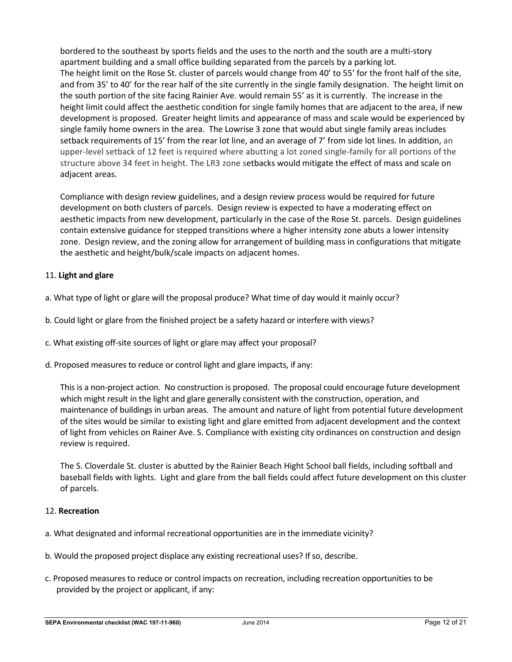bordered to the southeast by sports fields and the uses to the north and the south are a multi-story apartment building and a small office building separated from the parcels by a parking lot. The height limit on the Rose St. cluster of parcels would change from 40' to 55' for the front half of the site, and from 35' to 40' for the rear half of the site currently in the single family designation. The height limit on the south portion of the site facing Rainier Ave. would remain 55' as it is currently. The increase in the height limit could affect the aesthetic condition for single family homes that are adjacent to the area, if new development is proposed. Greater height limits and appearance of mass and scale would be experienced by single family home owners in the area. The Lowrise 3 zone that would abut single family areas includes setback requirements of 15' from the rear lot line, and an average of 7' from side lot lines. In addition, an upper-level setback of 12 feet is required where abutting a lot zoned single-family for all portions of the structure above 34 feet in height. The LR3 zone setbacks would mitigate the effect of mass and scale on adjacent areas.

Compliance with design review guidelines, and a design review process would be required for future development on both clusters of parcels. Design review is expected to have a moderating effect on aesthetic impacts from new development, particularly in the case of the Rose St. parcels. Design guidelines contain extensive guidance for stepped transitions where a higher intensity zone abuts a lower intensity zone. Design review, and the zoning allow for arrangement of building mass in configurations that mitigate the aesthetic and height/bulk/scale impacts on adjacent homes.

# 11. **Light and glare**

- a. What type of light or glare will the proposal produce? What time of day would it mainly occur?
- b. Could light or glare from the finished project be a safety hazard or interfere with views?
- c. What existing off-site sources of light or glare may affect your proposal?
- d. Proposed measures to reduce or control light and glare impacts, if any:

This is a non-project action. No construction is proposed. The proposal could encourage future development which might result in the light and glare generally consistent with the construction, operation, and maintenance of buildings in urban areas. The amount and nature of light from potential future development of the sites would be similar to existing light and glare emitted from adjacent development and the context of light from vehicles on Rainer Ave. S. Compliance with existing city ordinances on construction and design review is required.

The S. Cloverdale St. cluster is abutted by the Rainier Beach Hight School ball fields, including softball and baseball fields with lights. Light and glare from the ball fields could affect future development on this cluster of parcels.

## 12. **Recreation**

- a. What designated and informal recreational opportunities are in the immediate vicinity?
- b. Would the proposed project displace any existing recreational uses? If so, describe.
- c. Proposed measures to reduce or control impacts on recreation, including recreation opportunities to be provided by the project or applicant, if any: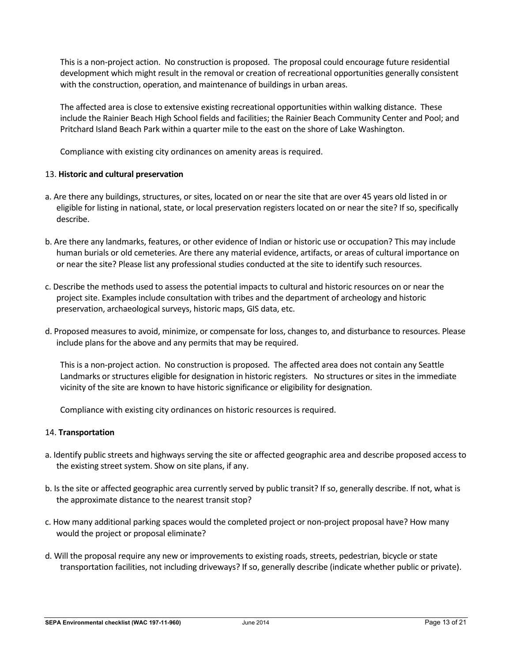This is a non-project action. No construction is proposed. The proposal could encourage future residential development which might result in the removal or creation of recreational opportunities generally consistent with the construction, operation, and maintenance of buildings in urban areas.

The affected area is close to extensive existing recreational opportunities within walking distance. These include the Rainier Beach High School fields and facilities; the Rainier Beach Community Center and Pool; and Pritchard Island Beach Park within a quarter mile to the east on the shore of Lake Washington.

Compliance with existing city ordinances on amenity areas is required.

### 13. **Historic and cultural preservation**

- a. Are there any buildings, structures, or sites, located on or near the site that are over 45 years old listed in or eligible for listing in national, state, or local preservation registers located on or near the site? If so, specifically describe.
- b. Are there any landmarks, features, or other evidence of Indian or historic use or occupation? This may include human burials or old cemeteries. Are there any material evidence, artifacts, or areas of cultural importance on or near the site? Please list any professional studies conducted at the site to identify such resources.
- c. Describe the methods used to assess the potential impacts to cultural and historic resources on or near the project site. Examples include consultation with tribes and the department of archeology and historic preservation, archaeological surveys, historic maps, GIS data, etc.
- d. Proposed measures to avoid, minimize, or compensate for loss, changes to, and disturbance to resources. Please include plans for the above and any permits that may be required.

This is a non-project action. No construction is proposed. The affected area does not contain any Seattle Landmarks or structures eligible for designation in historic registers. No structures or sites in the immediate vicinity of the site are known to have historic significance or eligibility for designation.

Compliance with existing city ordinances on historic resources is required.

#### 14. **Transportation**

- a. Identify public streets and highways serving the site or affected geographic area and describe proposed access to the existing street system. Show on site plans, if any.
- b. Is the site or affected geographic area currently served by public transit? If so, generally describe. If not, what is the approximate distance to the nearest transit stop?
- c. How many additional parking spaces would the completed project or non-project proposal have? How many would the project or proposal eliminate?
- d. Will the proposal require any new or improvements to existing roads, streets, pedestrian, bicycle or state transportation facilities, not including driveways? If so, generally describe (indicate whether public or private).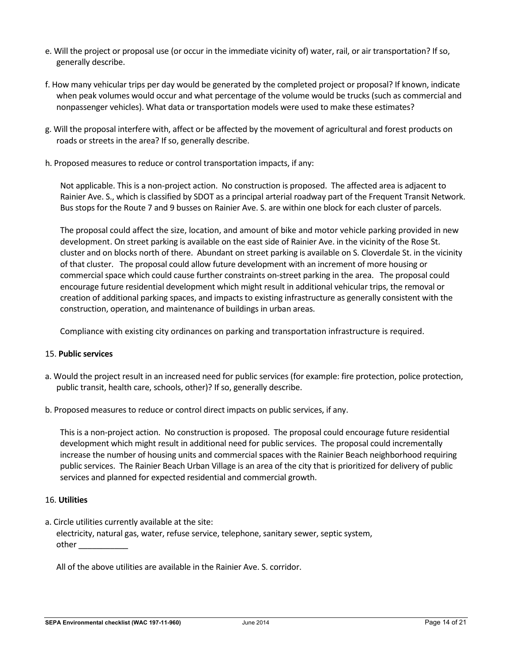- e. Will the project or proposal use (or occur in the immediate vicinity of) water, rail, or air transportation? If so, generally describe.
- f. How many vehicular trips per day would be generated by the completed project or proposal? If known, indicate when peak volumes would occur and what percentage of the volume would be trucks (such as commercial and nonpassenger vehicles). What data or transportation models were used to make these estimates?
- g. Will the proposal interfere with, affect or be affected by the movement of agricultural and forest products on roads or streets in the area? If so, generally describe.
- h. Proposed measures to reduce or control transportation impacts, if any:

Not applicable. This is a non-project action. No construction is proposed. The affected area is adjacent to Rainier Ave. S., which is classified by SDOT as a principal arterial roadway part of the Frequent Transit Network. Bus stops for the Route 7 and 9 busses on Rainier Ave. S. are within one block for each cluster of parcels.

The proposal could affect the size, location, and amount of bike and motor vehicle parking provided in new development. On street parking is available on the east side of Rainier Ave. in the vicinity of the Rose St. cluster and on blocks north of there. Abundant on street parking is available on S. Cloverdale St. in the vicinity of that cluster. The proposal could allow future development with an increment of more housing or commercial space which could cause further constraints on-street parking in the area. The proposal could encourage future residential development which might result in additional vehicular trips, the removal or creation of additional parking spaces, and impacts to existing infrastructure as generally consistent with the construction, operation, and maintenance of buildings in urban areas.

Compliance with existing city ordinances on parking and transportation infrastructure is required.

## 15. **Public services**

- a. Would the project result in an increased need for public services (for example: fire protection, police protection, public transit, health care, schools, other)? If so, generally describe.
- b. Proposed measures to reduce or control direct impacts on public services, if any.

This is a non-project action. No construction is proposed. The proposal could encourage future residential development which might result in additional need for public services. The proposal could incrementally increase the number of housing units and commercial spaces with the Rainier Beach neighborhood requiring public services. The Rainier Beach Urban Village is an area of the city that is prioritized for delivery of public services and planned for expected residential and commercial growth.

#### 16. **Utilities**

a. Circle utilities currently available at the site: electricity, natural gas, water, refuse service, telephone, sanitary sewer, septic system, other \_\_\_\_\_\_\_\_\_\_\_

All of the above utilities are available in the Rainier Ave. S. corridor.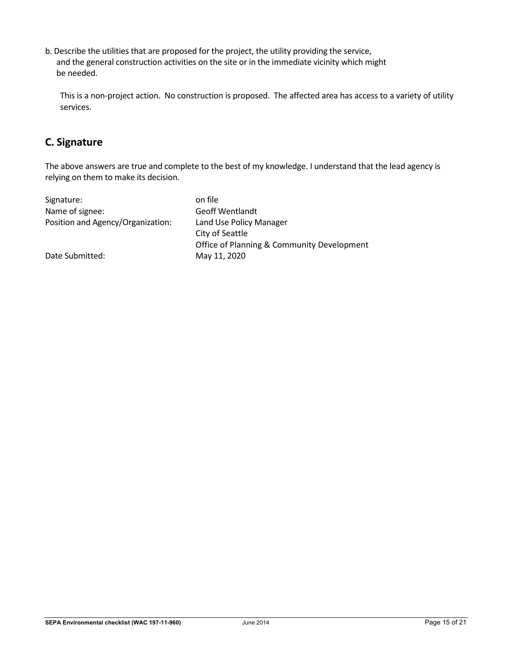b. Describe the utilities that are proposed for the project, the utility providing the service, and the general construction activities on the site or in the immediate vicinity which might be needed.

This is a non-project action. No construction is proposed. The affected area has access to a variety of utility services.

# **C. Signature**

The above answers are true and complete to the best of my knowledge. I understand that the lead agency is relying on them to make its decision.

| Signature:                        | on file                                    |
|-----------------------------------|--------------------------------------------|
| Name of signee:                   | <b>Geoff Wentlandt</b>                     |
| Position and Agency/Organization: | Land Use Policy Manager                    |
|                                   | City of Seattle                            |
|                                   | Office of Planning & Community Development |
| Date Submitted:                   | May 11, 2020                               |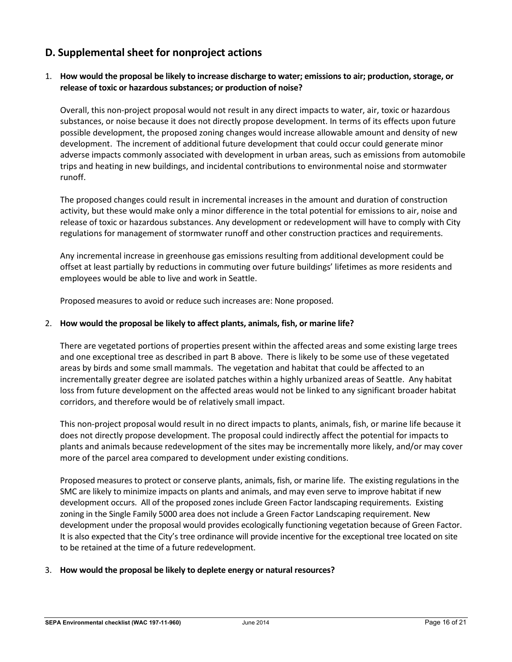# **D. Supplemental sheet for nonproject actions**

# 1. **How would the proposal be likely to increase discharge to water; emissions to air; production, storage, or release of toxic or hazardous substances; or production of noise?**

Overall, this non-project proposal would not result in any direct impacts to water, air, toxic or hazardous substances, or noise because it does not directly propose development. In terms of its effects upon future possible development, the proposed zoning changes would increase allowable amount and density of new development. The increment of additional future development that could occur could generate minor adverse impacts commonly associated with development in urban areas, such as emissions from automobile trips and heating in new buildings, and incidental contributions to environmental noise and stormwater runoff.

The proposed changes could result in incremental increases in the amount and duration of construction activity, but these would make only a minor difference in the total potential for emissions to air, noise and release of toxic or hazardous substances. Any development or redevelopment will have to comply with City regulations for management of stormwater runoff and other construction practices and requirements.

Any incremental increase in greenhouse gas emissions resulting from additional development could be offset at least partially by reductions in commuting over future buildings' lifetimes as more residents and employees would be able to live and work in Seattle.

Proposed measures to avoid or reduce such increases are: None proposed.

### 2. **How would the proposal be likely to affect plants, animals, fish, or marine life?**

There are vegetated portions of properties present within the affected areas and some existing large trees and one exceptional tree as described in part B above. There is likely to be some use of these vegetated areas by birds and some small mammals. The vegetation and habitat that could be affected to an incrementally greater degree are isolated patches within a highly urbanized areas of Seattle. Any habitat loss from future development on the affected areas would not be linked to any significant broader habitat corridors, and therefore would be of relatively small impact.

This non-project proposal would result in no direct impacts to plants, animals, fish, or marine life because it does not directly propose development. The proposal could indirectly affect the potential for impacts to plants and animals because redevelopment of the sites may be incrementally more likely, and/or may cover more of the parcel area compared to development under existing conditions.

Proposed measures to protect or conserve plants, animals, fish, or marine life. The existing regulations in the SMC are likely to minimize impacts on plants and animals, and may even serve to improve habitat if new development occurs. All of the proposed zones include Green Factor landscaping requirements. Existing zoning in the Single Family 5000 area does not include a Green Factor Landscaping requirement. New development under the proposal would provides ecologically functioning vegetation because of Green Factor. It is also expected that the City's tree ordinance will provide incentive for the exceptional tree located on site to be retained at the time of a future redevelopment.

#### 3. **How would the proposal be likely to deplete energy or natural resources?**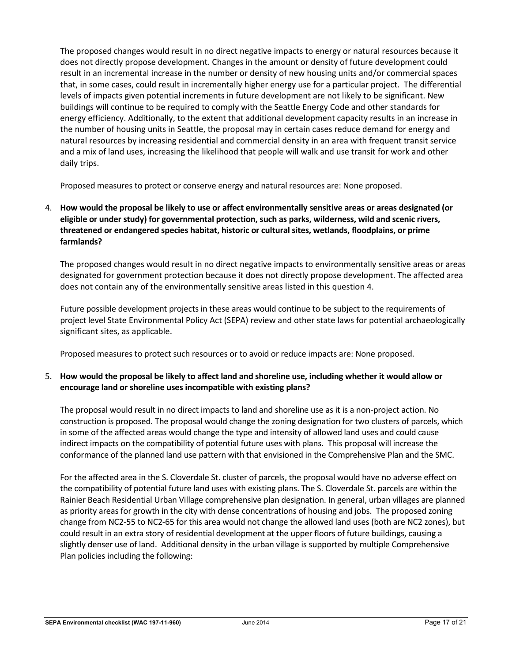The proposed changes would result in no direct negative impacts to energy or natural resources because it does not directly propose development. Changes in the amount or density of future development could result in an incremental increase in the number or density of new housing units and/or commercial spaces that, in some cases, could result in incrementally higher energy use for a particular project. The differential levels of impacts given potential increments in future development are not likely to be significant. New buildings will continue to be required to comply with the Seattle Energy Code and other standards for energy efficiency. Additionally, to the extent that additional development capacity results in an increase in the number of housing units in Seattle, the proposal may in certain cases reduce demand for energy and natural resources by increasing residential and commercial density in an area with frequent transit service and a mix of land uses, increasing the likelihood that people will walk and use transit for work and other daily trips.

Proposed measures to protect or conserve energy and natural resources are: None proposed.

# 4. **How would the proposal be likely to use or affect environmentally sensitive areas or areas designated (or eligible or under study) for governmental protection, such as parks, wilderness, wild and scenic rivers, threatened or endangered species habitat, historic or cultural sites, wetlands, floodplains, or prime farmlands?**

The proposed changes would result in no direct negative impacts to environmentally sensitive areas or areas designated for government protection because it does not directly propose development. The affected area does not contain any of the environmentally sensitive areas listed in this question 4.

Future possible development projects in these areas would continue to be subject to the requirements of project level State Environmental Policy Act (SEPA) review and other state laws for potential archaeologically significant sites, as applicable.

Proposed measures to protect such resources or to avoid or reduce impacts are: None proposed.

# 5. **How would the proposal be likely to affect land and shoreline use, including whether it would allow or encourage land or shoreline uses incompatible with existing plans?**

The proposal would result in no direct impacts to land and shoreline use as it is a non-project action. No construction is proposed. The proposal would change the zoning designation for two clusters of parcels, which in some of the affected areas would change the type and intensity of allowed land uses and could cause indirect impacts on the compatibility of potential future uses with plans. This proposal will increase the conformance of the planned land use pattern with that envisioned in the Comprehensive Plan and the SMC.

For the affected area in the S. Cloverdale St. cluster of parcels, the proposal would have no adverse effect on the compatibility of potential future land uses with existing plans. The S. Cloverdale St. parcels are within the Rainier Beach Residential Urban Village comprehensive plan designation. In general, urban villages are planned as priority areas for growth in the city with dense concentrations of housing and jobs. The proposed zoning change from NC2-55 to NC2-65 for this area would not change the allowed land uses (both are NC2 zones), but could result in an extra story of residential development at the upper floors of future buildings, causing a slightly denser use of land. Additional density in the urban village is supported by multiple Comprehensive Plan policies including the following: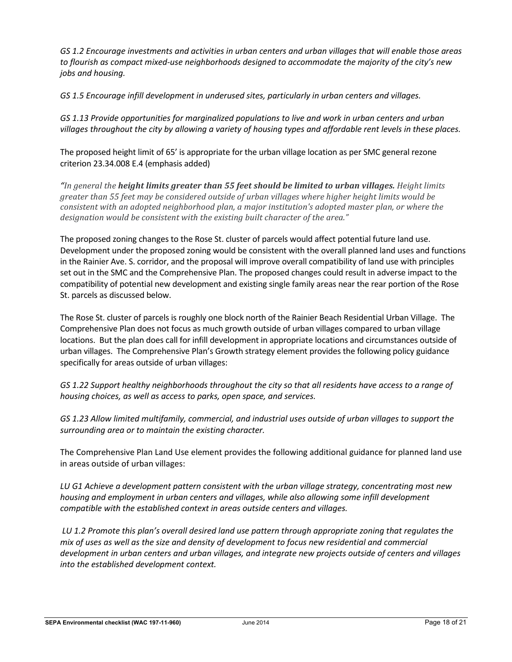*GS 1.2 Encourage investments and activities in urban centers and urban villages that will enable those areas to flourish as compact mixed-use neighborhoods designed to accommodate the majority of the city's new jobs and housing.*

*GS 1.5 Encourage infill development in underused sites, particularly in urban centers and villages.*

*GS 1.13 Provide opportunities for marginalized populations to live and work in urban centers and urban villages throughout the city by allowing a variety of housing types and affordable rent levels in these places.*

The proposed height limit of 65' is appropriate for the urban village location as per SMC general rezone criterion 23.34.008 E.4 (emphasis added)

*"In general the height limits greater than 55 feet should be limited to urban villages. Height limits greater than 55 feet may be considered outside of urban villages where higher height limits would be consistent with an adopted neighborhood plan, a major institution's adopted master plan, or where the designation would be consistent with the existing built character of the area."*

The proposed zoning changes to the Rose St. cluster of parcels would affect potential future land use. Development under the proposed zoning would be consistent with the overall planned land uses and functions in the Rainier Ave. S. corridor, and the proposal will improve overall compatibility of land use with principles set out in the SMC and the Comprehensive Plan. The proposed changes could result in adverse impact to the compatibility of potential new development and existing single family areas near the rear portion of the Rose St. parcels as discussed below.

The Rose St. cluster of parcels is roughly one block north of the Rainier Beach Residential Urban Village. The Comprehensive Plan does not focus as much growth outside of urban villages compared to urban village locations. But the plan does call for infill development in appropriate locations and circumstances outside of urban villages. The Comprehensive Plan's Growth strategy element provides the following policy guidance specifically for areas outside of urban villages:

*GS 1.22 Support healthy neighborhoods throughout the city so that all residents have access to a range of housing choices, as well as access to parks, open space, and services.* 

*GS 1.23 Allow limited multifamily, commercial, and industrial uses outside of urban villages to support the surrounding area or to maintain the existing character.*

The Comprehensive Plan Land Use element provides the following additional guidance for planned land use in areas outside of urban villages:

*LU G1 Achieve a development pattern consistent with the urban village strategy, concentrating most new housing and employment in urban centers and villages, while also allowing some infill development compatible with the established context in areas outside centers and villages.*

*LU 1.2 Promote this plan's overall desired land use pattern through appropriate zoning that regulates the mix of uses as well as the size and density of development to focus new residential and commercial development in urban centers and urban villages, and integrate new projects outside of centers and villages into the established development context.*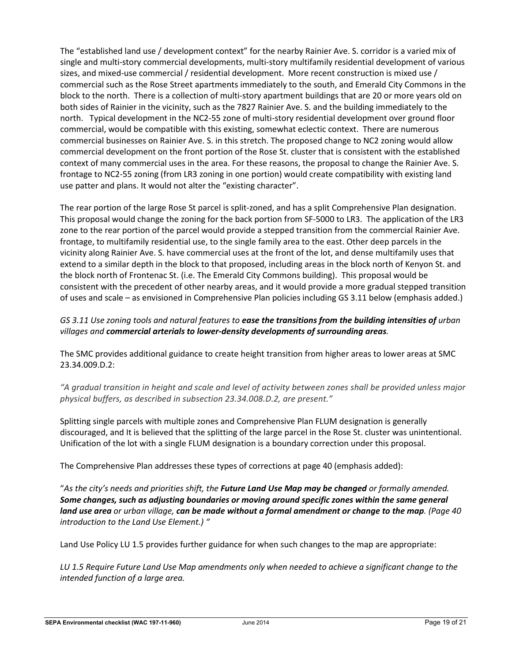The "established land use / development context" for the nearby Rainier Ave. S. corridor is a varied mix of single and multi-story commercial developments, multi-story multifamily residential development of various sizes, and mixed-use commercial / residential development. More recent construction is mixed use / commercial such as the Rose Street apartments immediately to the south, and Emerald City Commons in the block to the north. There is a collection of multi-story apartment buildings that are 20 or more years old on both sides of Rainier in the vicinity, such as the 7827 Rainier Ave. S. and the building immediately to the north. Typical development in the NC2-55 zone of multi-story residential development over ground floor commercial, would be compatible with this existing, somewhat eclectic context. There are numerous commercial businesses on Rainier Ave. S. in this stretch. The proposed change to NC2 zoning would allow commercial development on the front portion of the Rose St. cluster that is consistent with the established context of many commercial uses in the area. For these reasons, the proposal to change the Rainier Ave. S. frontage to NC2-55 zoning (from LR3 zoning in one portion) would create compatibility with existing land use patter and plans. It would not alter the "existing character".

The rear portion of the large Rose St parcel is split-zoned, and has a split Comprehensive Plan designation. This proposal would change the zoning for the back portion from SF-5000 to LR3. The application of the LR3 zone to the rear portion of the parcel would provide a stepped transition from the commercial Rainier Ave. frontage, to multifamily residential use, to the single family area to the east. Other deep parcels in the vicinity along Rainier Ave. S. have commercial uses at the front of the lot, and dense multifamily uses that extend to a similar depth in the block to that proposed, including areas in the block north of Kenyon St. and the block north of Frontenac St. (i.e. The Emerald City Commons building). This proposal would be consistent with the precedent of other nearby areas, and it would provide a more gradual stepped transition of uses and scale – as envisioned in Comprehensive Plan policies including GS 3.11 below (emphasis added.)

# *GS 3.11 Use zoning tools and natural features to ease the transitions from the building intensities of urban villages and commercial arterials to lower-density developments of surrounding areas.*

The SMC provides additional guidance to create height transition from higher areas to lower areas at SMC 23.34.009.D.2:

*"A gradual transition in height and scale and level of activity between zones shall be provided unless major physical buffers, as described in subsection 23.34.008.D.2, are present."*

Splitting single parcels with multiple zones and Comprehensive Plan FLUM designation is generally discouraged, and It is believed that the splitting of the large parcel in the Rose St. cluster was unintentional. Unification of the lot with a single FLUM designation is a boundary correction under this proposal.

The Comprehensive Plan addresses these types of corrections at page 40 (emphasis added):

"*As the city's needs and priorities shift, the Future Land Use Map may be changed or formally amended. Some changes, such as adjusting boundaries or moving around specific zones within the same general land use area or urban village, can be made without a formal amendment or change to the map. (Page 40 introduction to the Land Use Element.) "*

Land Use Policy LU 1.5 provides further guidance for when such changes to the map are appropriate:

*LU 1.5 Require Future Land Use Map amendments only when needed to achieve a significant change to the intended function of a large area.*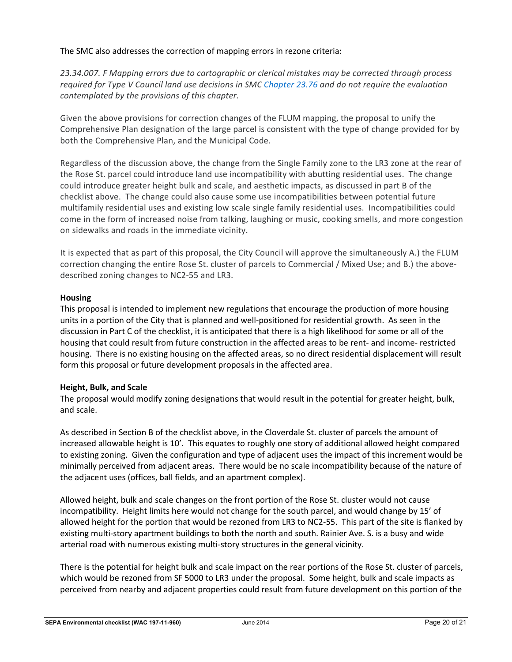The SMC also addresses the correction of mapping errors in rezone criteria:

*23.34.007. F Mapping errors due to cartographic or clerical mistakes may be corrected through process required for Type V Council land use decisions in SMC [Chapter 23.76](https://library.municode.com/wa/seattle/codes/municipal_code?nodeId=TIT23LAUSCO_SUBTITLE_IVAD_CH23.76PRMAUSPECOLAUSDE) and do not require the evaluation contemplated by the provisions of this chapter.*

Given the above provisions for correction changes of the FLUM mapping, the proposal to unify the Comprehensive Plan designation of the large parcel is consistent with the type of change provided for by both the Comprehensive Plan, and the Municipal Code.

Regardless of the discussion above, the change from the Single Family zone to the LR3 zone at the rear of the Rose St. parcel could introduce land use incompatibility with abutting residential uses. The change could introduce greater height bulk and scale, and aesthetic impacts, as discussed in part B of the checklist above. The change could also cause some use incompatibilities between potential future multifamily residential uses and existing low scale single family residential uses. Incompatibilities could come in the form of increased noise from talking, laughing or music, cooking smells, and more congestion on sidewalks and roads in the immediate vicinity.

It is expected that as part of this proposal, the City Council will approve the simultaneously A.) the FLUM correction changing the entire Rose St. cluster of parcels to Commercial / Mixed Use; and B.) the abovedescribed zoning changes to NC2-55 and LR3.

## **Housing**

This proposal is intended to implement new regulations that encourage the production of more housing units in a portion of the City that is planned and well-positioned for residential growth. As seen in the discussion in Part C of the checklist, it is anticipated that there is a high likelihood for some or all of the housing that could result from future construction in the affected areas to be rent- and income- restricted housing. There is no existing housing on the affected areas, so no direct residential displacement will result form this proposal or future development proposals in the affected area.

## **Height, Bulk, and Scale**

The proposal would modify zoning designations that would result in the potential for greater height, bulk, and scale.

As described in Section B of the checklist above, in the Cloverdale St. cluster of parcels the amount of increased allowable height is 10'. This equates to roughly one story of additional allowed height compared to existing zoning. Given the configuration and type of adjacent uses the impact of this increment would be minimally perceived from adjacent areas. There would be no scale incompatibility because of the nature of the adjacent uses (offices, ball fields, and an apartment complex).

Allowed height, bulk and scale changes on the front portion of the Rose St. cluster would not cause incompatibility. Height limits here would not change for the south parcel, and would change by 15' of allowed height for the portion that would be rezoned from LR3 to NC2-55. This part of the site is flanked by existing multi-story apartment buildings to both the north and south. Rainier Ave. S. is a busy and wide arterial road with numerous existing multi-story structures in the general vicinity.

There is the potential for height bulk and scale impact on the rear portions of the Rose St. cluster of parcels, which would be rezoned from SF 5000 to LR3 under the proposal. Some height, bulk and scale impacts as perceived from nearby and adjacent properties could result from future development on this portion of the